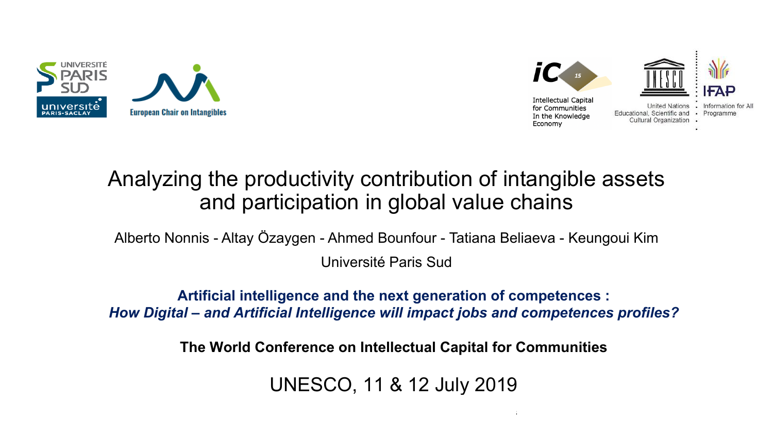



## Analyzing the productivity contribution of intangible assets and participation in global value chains

Alberto Nonnis - Altay Özaygen - Ahmed Bounfour - Tatiana Beliaeva - Keungoui Kim Université Paris Sud

**Artificial intelligence and the next generation of competences :** *How Digital – and Artificial Intelligence will impact jobs and competences profiles?*

**The World Conference on Intellectual Capital for Communities**

UNESCO, 11 & 12 July 2019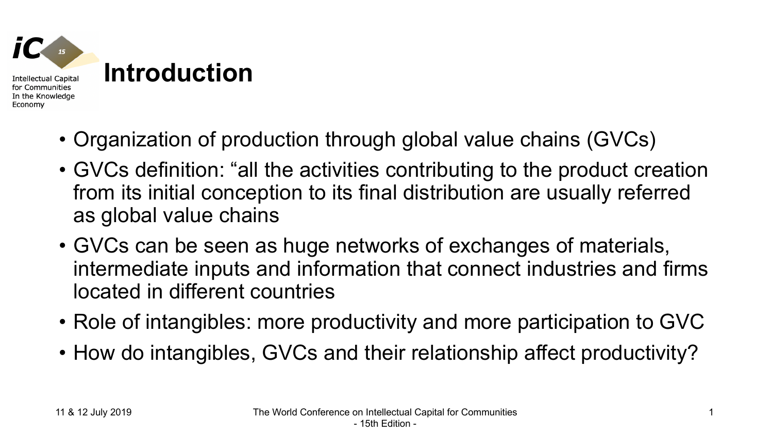

- Organization of production through global value chains (GVCs)
- GVCs definition: "all the activities contributing to the product creation from its initial conception to its final distribution are usually referred as global value chains
- GVCs can be seen as huge networks of exchanges of materials, intermediate inputs and information that connect industries and firms located in different countries
- Role of intangibles: more productivity and more participation to GVC
- How do intangibles, GVCs and their relationship affect productivity?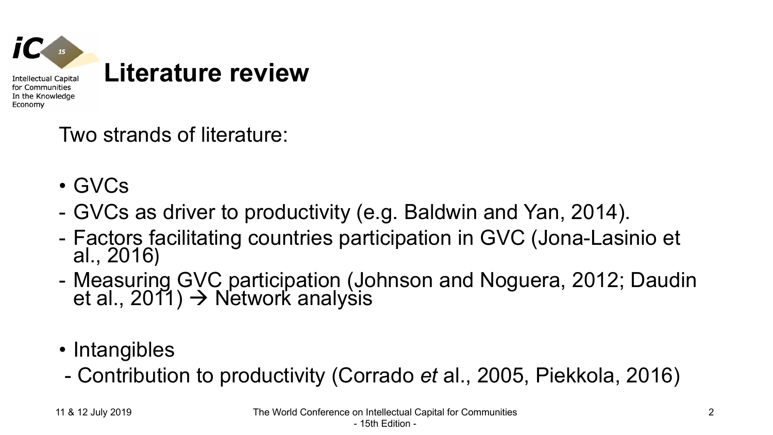

## Two strands of literature:

- GVCs
- GVCs as driver to productivity (e.g. Baldwin and Yan, 2014).
- Factors facilitating countries participation in GVC (Jona-Lasinio et al., 2016)
- Measuring GVC participation (Johnson and Noguera, 2012; Daudin et al., 2011) → Network analysis
- Intangibles
- Contribution to productivity (Corrado *et* al., 2005, Piekkola, 2016)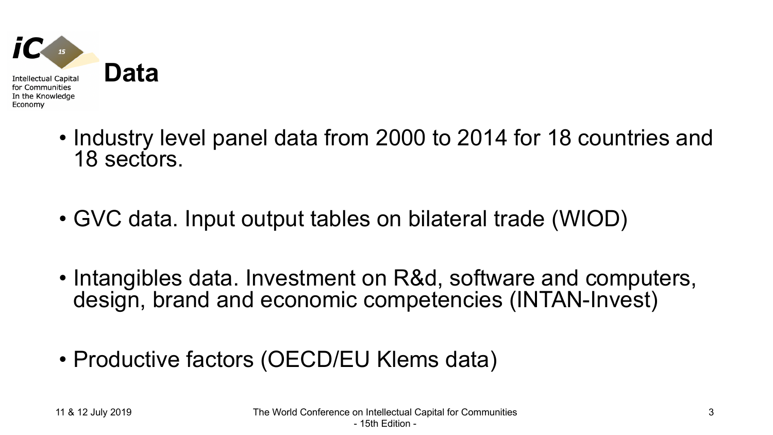

- Industry level panel data from 2000 to 2014 for 18 countries and 18 sectors.
- GVC data. Input output tables on bilateral trade (WIOD)
- Intangibles data. Investment on R&d, software and computers, design, brand and economic competencies (INTAN-Invest)
- Productive factors (OECD/EU Klems data)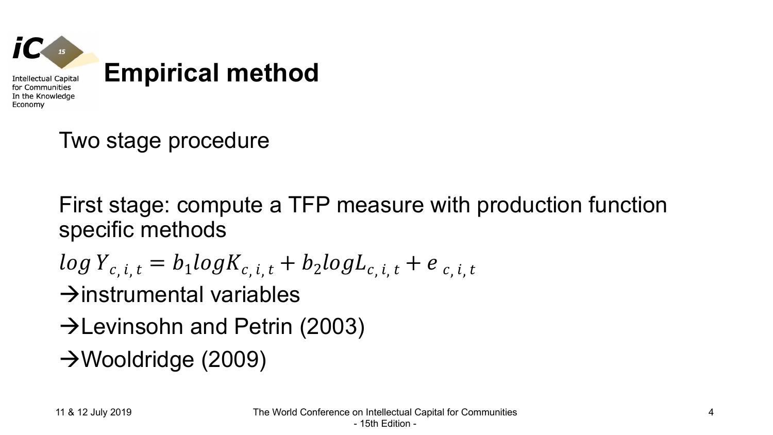

Two stage procedure

First stage: compute a TFP measure with production function specific methods

$$
log Y_{c,i,t} = b_1 log K_{c,i,t} + b_2 log L_{c,i,t} + e_{c,i,t}
$$

 $\rightarrow$ instrumental variables

- $\rightarrow$ Levinsohn and Petrin (2003)
- $\rightarrow$ Wooldridge (2009)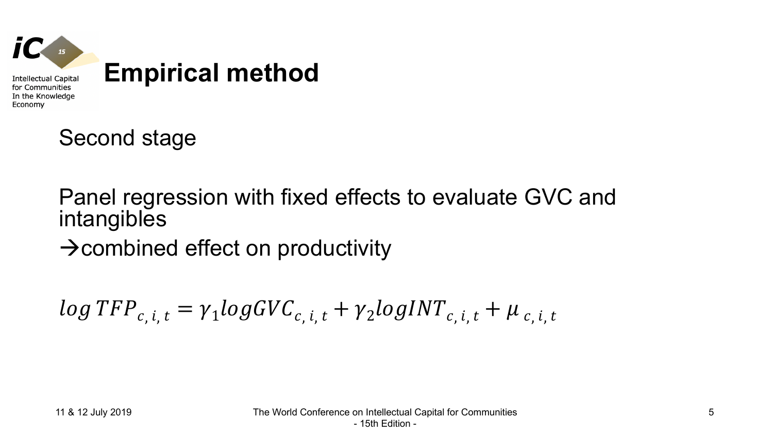

Second stage

### Panel regression with fixed effects to evaluate GVC and intangibles

 $\rightarrow$ combined effect on productivity

 $log TFP_{c,i,t} = \gamma_1 log GVC_{c,i,t} + \gamma_2 log INT_{c,i,t} + \mu_{c,i,t}$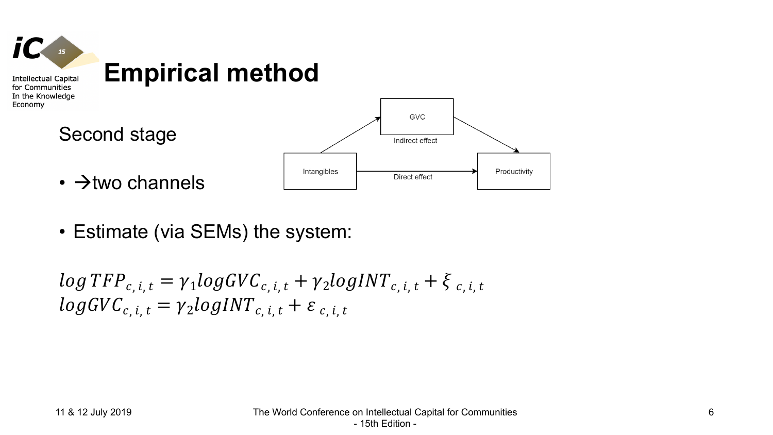

- $\cdot \rightarrow$ two channels
- Estimate (via SEMs) the system:

 $log TFP_{c,i,t} = \gamma_1 log GVC_{c,i,t} + \gamma_2 log INT_{c,i,t} + \xi_{c,i,t}$  $logGVC_{c,i,t} = \gamma_2 logINT_{c,i,t} + \varepsilon_{c,i,t}$ 

Productivity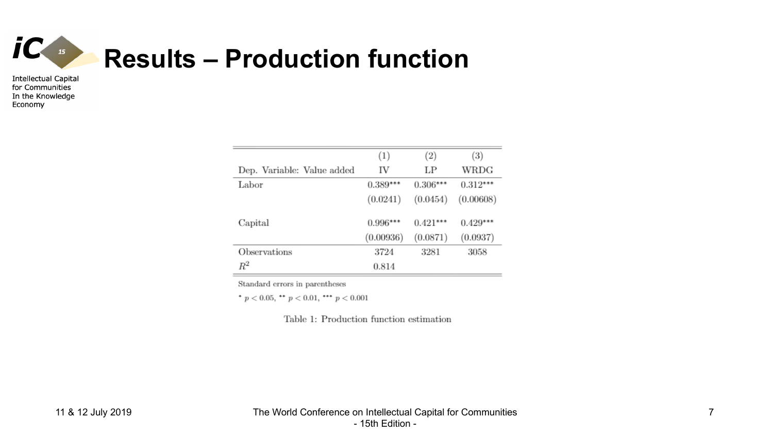

|                            | (1)        | (2)        | $\left(3\right)$ |
|----------------------------|------------|------------|------------------|
| Dep. Variable: Value added | IV         | LP         | WRDG             |
| Labor                      | $0.389***$ | $0.306***$ | $0.312***$       |
|                            | (0.0241)   | (0.0454)   | (0.00608)        |
| Capital                    | $0.996***$ | $0.421***$ | $0.429***$       |
|                            | (0.00936)  | (0.0871)   | (0.0937)         |
| Observations               | 3724       | 3281       | 3058             |
| $\,R^2$                    | 0.814      |            |                  |

Standard errors in parentheses

\*  $p < 0.05$ , \*\*  $p < 0.01$ , \*\*\*  $p < 0.001$ 

Table 1: Production function estimation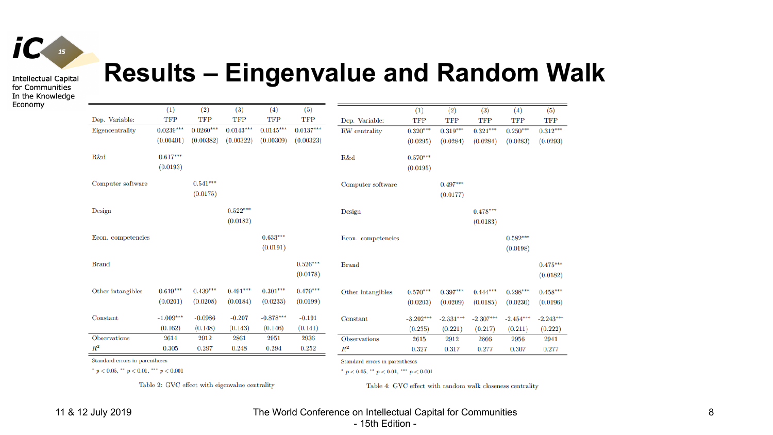

# **Results – Eingenvalue and Random Walk**

|                     | (1)         | (2)         | (3)         | (4)         | (5)         |                     | (1)         | (2)         | (3)         | (4)         | (5)         |
|---------------------|-------------|-------------|-------------|-------------|-------------|---------------------|-------------|-------------|-------------|-------------|-------------|
| Dep. Variable:      | <b>TFP</b>  | <b>TFP</b>  | <b>TFP</b>  | TFP         | <b>TFP</b>  | Dep. Variable:      | <b>TFP</b>  | <b>TFP</b>  | <b>TFP</b>  | <b>TFP</b>  | <b>TFP</b>  |
| Eigencentrality     | $0.0239***$ | $0.0260***$ | $0.0143***$ | $0.0145***$ | $0.0137***$ | RW centrality       | $0.320***$  | $0.319***$  | $0.321***$  | $0.250***$  | $0.312***$  |
|                     | (0.00401)   | (0.00382)   | (0.00322)   | (0.00309)   | (0.00323)   |                     | (0.0295)    | (0.0284)    | (0.0284)    | (0.0283)    | (0.0293)    |
| R&d                 | $0.617***$  |             |             |             |             | R&d                 | $0.570***$  |             |             |             |             |
|                     | (0.0193)    |             |             |             |             |                     | (0.0195)    |             |             |             |             |
| Computer software   |             | $0.541***$  |             |             |             | Computer software   |             | $0.497***$  |             |             |             |
|                     |             | (0.0175)    |             |             |             |                     |             | (0.0177)    |             |             |             |
| Design              |             |             | $0.522***$  |             |             | Design              |             |             | $0.478***$  |             |             |
|                     |             |             | (0.0182)    |             |             |                     |             |             | (0.0183)    |             |             |
| Econ. competencies  |             |             |             | $0.633***$  |             | Econ. competencies  |             |             |             | $0.582***$  |             |
|                     |             |             |             | (0.0191)    |             |                     |             |             |             | (0.0198)    |             |
| <b>Brand</b>        |             |             |             |             | $0.526***$  | <b>Brand</b>        |             |             |             |             | $0.475***$  |
|                     |             |             |             |             | (0.0178)    |                     |             |             |             |             | (0.0182)    |
| Other intangibles   | $0.619***$  | $0.439***$  | $0.491***$  | $0.301***$  | $0.479***$  | Other intangibles   | $0.570***$  | $0.397***$  | $0.444***$  | $0.298***$  | $0.458***$  |
|                     | (0.0201)    | (0.0208)    | (0.0184)    | (0.0233)    | (0.0199)    |                     | (0.0203)    | (0.0209)    | (0.0185)    | (0.0230)    | (0.0196)    |
| Constant            | $-1.009***$ | $-0.0986$   | $-0.207$    | $-0.878***$ | $-0.191$    | Constant            | $-3.202***$ | $-2.331***$ | $-2.307***$ | $-2.454***$ | $-2.243***$ |
|                     | (0.162)     | (0.148)     | (0.143)     | (0.146)     | (0.141)     |                     | (0.235)     | (0.221)     | (0.217)     | (0.211)     | (0.222)     |
| <b>Observations</b> | 2614        | 2912        | 2861        | 2951        | 2936        | <b>Observations</b> | 2615        | 2912        | 2866        | 2956        | 2941        |
| $R^2$               | 0.305       | 0.297       | 0.248       | 0.294       | 0.252       | $\mathbb{R}^2$      | 0.327       | 0.317       | 0.277       | 0.307       | 0.277       |

Standard errors in parentheses

\*  $p < 0.05$ , \*\*  $p < 0.01$ , \*\*\*  $p < 0.001$ 

Standard errors in parentheses

\*  $p < 0.05$ , \*\*  $p < 0.01$ , \*\*\*  $p < 0.001$ 

Table 2: GVC effect with eigenvalue centrality

Table 4: GVC effect with random walk closeness centrality

#### 11 & 12 July 2019 The World Conference on Intellectual Capital for Communities - 15th Edition -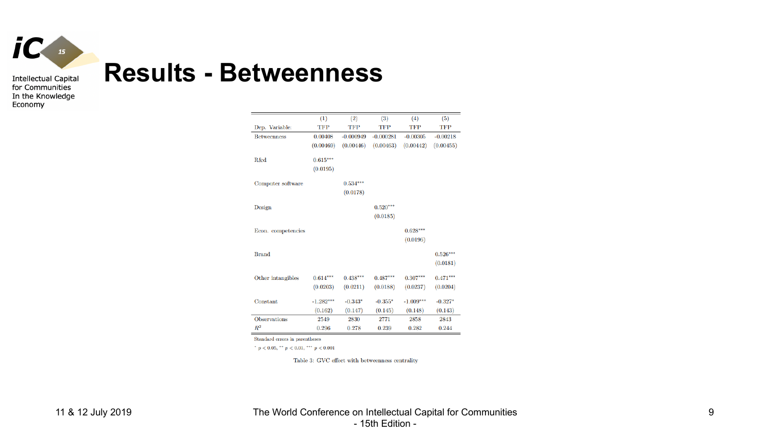

# **Results - Betweenness**

|                     | (1)         | (2)         | (3)         | (4)         | (5)        |
|---------------------|-------------|-------------|-------------|-------------|------------|
| Dep. Variable:      | TFP         | TFP         | TFP         | TFP         | TFP        |
| <b>Betweenness</b>  | 0.00408     | $-0.000949$ | $-0.000281$ | $-0.00305$  | $-0.00218$ |
|                     | (0.00469)   | (0.00446)   | (0.00463)   | (0.00442)   | (0.00455)  |
| R&d                 | $0.615***$  |             |             |             |            |
|                     |             |             |             |             |            |
|                     | (0.0195)    |             |             |             |            |
| Computer software   |             | $0.534***$  |             |             |            |
|                     |             | (0.0178)    |             |             |            |
|                     |             |             |             |             |            |
| Design              |             |             | $0.520***$  |             |            |
|                     |             |             | (0.0185)    |             |            |
| Econ. competencies  |             |             |             | $0.628***$  |            |
|                     |             |             |             | (0.0196)    |            |
|                     |             |             |             |             |            |
| <b>Brand</b>        |             |             |             |             | $0.526***$ |
|                     |             |             |             |             | (0.0181)   |
| Other intangibles   | $0.614***$  | $0.438***$  | $0.487***$  | $0.307***$  | $0.471***$ |
|                     | (0.0203)    | (0.0211)    | (0.0188)    | (0.0237)    | (0.0204)   |
|                     |             |             |             |             |            |
| Constant            | $-1.282***$ | $-0.343*$   | $-0.355*$   | $-1.009***$ | $-0.327*$  |
|                     | (0.162)     | (0.147)     | (0.145)     | (0.148)     | (0.143)    |
| <b>Observations</b> | 2549        | 2830        | 2771        | 2858        | 2843       |
| $R^2$               | 0.296       | 0.278       | 0.239       | 0.282       | 0.244      |
|                     |             |             |             |             |            |

Standard errors in parentheses

\*  $p < 0.05$ , \*\*  $p < 0.01$ , \*\*\*  $p < 0.001$ 

Table 3: GVC effect with betweenness centrality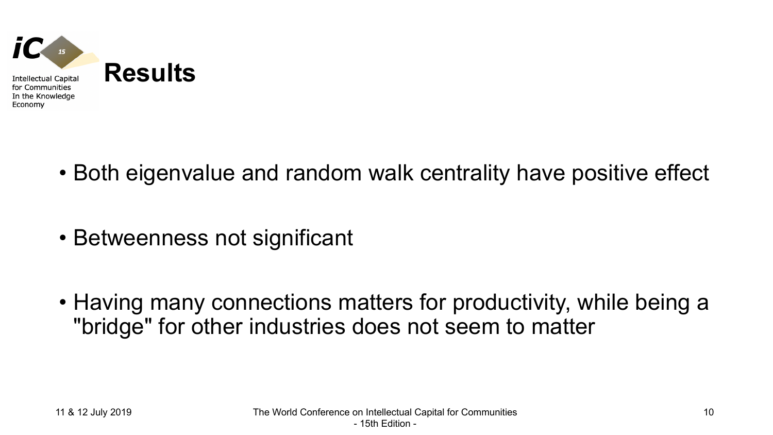

- Both eigenvalue and random walk centrality have positive effect
- Betweenness not significant
- Having many connections matters for productivity, while being a "bridge" for other industries does not seem to matter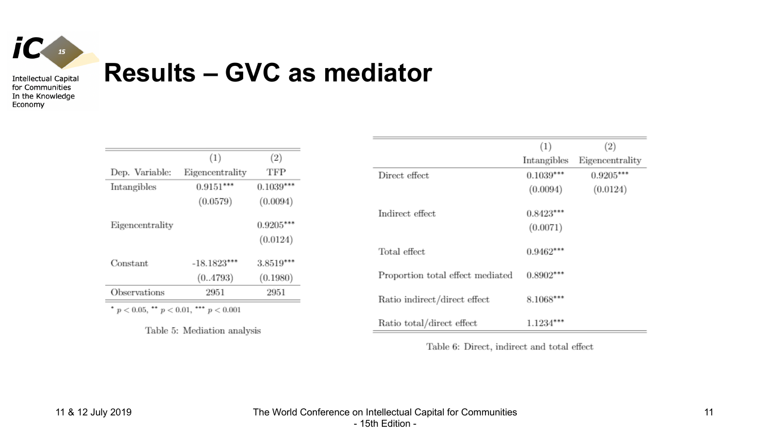

Economy

# **Results – GVC as mediator**

|                                              | (1)             | (2)         |  |  |  |
|----------------------------------------------|-----------------|-------------|--|--|--|
| Dep. Variable:                               | Eigencentrality | TFP         |  |  |  |
| Intangibles                                  | $0.9151***$     | $0.1039***$ |  |  |  |
|                                              | (0.0579)        | (0.0094)    |  |  |  |
| Eigencentrality                              |                 | $0.9205***$ |  |  |  |
|                                              |                 | (0.0124)    |  |  |  |
| Constant                                     | $-18.1823***$   | 3.8519***   |  |  |  |
|                                              | (0.4793)        | (0.1980)    |  |  |  |
| Observations                                 | 2951            | 2951        |  |  |  |
| $p < 0.05$ , $p < 0.01$ ,<br>*** $p < 0.001$ |                 |             |  |  |  |

Table 5: Mediation analysis

|                                  | (1)         | (2)             |
|----------------------------------|-------------|-----------------|
|                                  | Intangibles | Eigencentrality |
| Direct effect                    | $0.1039***$ | $0.9205***$     |
|                                  | (0.0094)    | (0.0124)        |
| Indirect effect                  | $0.8423***$ |                 |
|                                  | (0.0071)    |                 |
| Total effect                     | $0.9462***$ |                 |
| Proportion total effect mediated | $0.8902***$ |                 |
| Ratio indirect/direct effect     | 8.1068***   |                 |
| Ratio total/direct effect        | 1.1234      |                 |

Table 6: Direct, indirect and total effect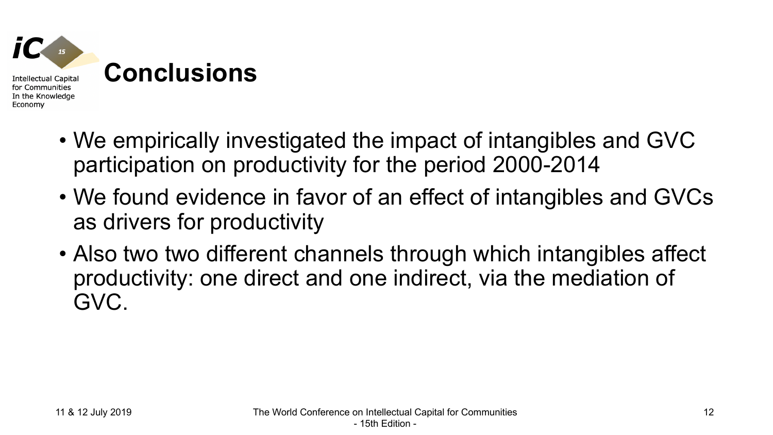

- We empirically investigated the impact of intangibles and GVC participation on productivity for the period 2000-2014
- We found evidence in favor of an effect of intangibles and GVCs as drivers for productivity
- Also two two different channels through which intangibles affect productivity: one direct and one indirect, via the mediation of GVC.